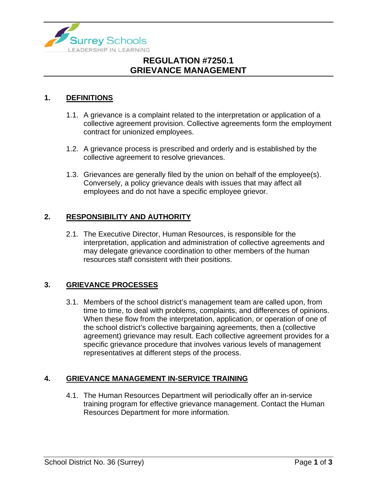

## **REGULATION #7250.1 GRIEVANCE MANAGEMENT**

### **1. DEFINITIONS**

- 1.1. A grievance is a complaint related to the interpretation or application of a collective agreement provision. Collective agreements form the employment contract for unionized employees.
- 1.2. A grievance process is prescribed and orderly and is established by the collective agreement to resolve grievances.
- 1.3. Grievances are generally filed by the union on behalf of the employee(s). Conversely, a policy grievance deals with issues that may affect all employees and do not have a specific employee grievor.

### **2. RESPONSIBILITY AND AUTHORITY**

2.1. The Executive Director, Human Resources, is responsible for the interpretation, application and administration of collective agreements and may delegate grievance coordination to other members of the human resources staff consistent with their positions.

### **3. GRIEVANCE PROCESSES**

3.1. Members of the school district's management team are called upon, from time to time, to deal with problems, complaints, and differences of opinions. When these flow from the interpretation, application, or operation of one of the school district's collective bargaining agreements, then a (collective agreement) grievance may result. Each collective agreement provides for a specific grievance procedure that involves various levels of management representatives at different steps of the process.

### **4. GRIEVANCE MANAGEMENT IN-SERVICE TRAINING**

4.1. The Human Resources Department will periodically offer an in-service training program for effective grievance management. Contact the Human Resources Department for more information.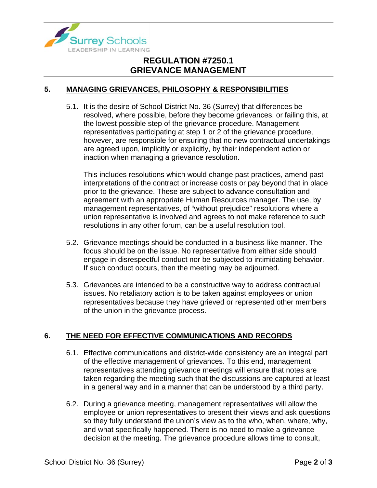

## **REGULATION #7250.1 GRIEVANCE MANAGEMENT**

#### **5. MANAGING GRIEVANCES, PHILOSOPHY & RESPONSIBILITIES**

5.1. It is the desire of School District No. 36 (Surrey) that differences be resolved, where possible, before they become grievances, or failing this, at the lowest possible step of the grievance procedure. Management representatives participating at step 1 or 2 of the grievance procedure, however, are responsible for ensuring that no new contractual undertakings are agreed upon, implicitly or explicitly, by their independent action or inaction when managing a grievance resolution.

This includes resolutions which would change past practices, amend past interpretations of the contract or increase costs or pay beyond that in place prior to the grievance. These are subject to advance consultation and agreement with an appropriate Human Resources manager. The use, by management representatives, of "without prejudice" resolutions where a union representative is involved and agrees to not make reference to such resolutions in any other forum, can be a useful resolution tool.

- 5.2. Grievance meetings should be conducted in a business-like manner. The focus should be on the issue. No representative from either side should engage in disrespectful conduct nor be subjected to intimidating behavior. If such conduct occurs, then the meeting may be adjourned.
- 5.3. Grievances are intended to be a constructive way to address contractual issues. No retaliatory action is to be taken against employees or union representatives because they have grieved or represented other members of the union in the grievance process.

#### **6. THE NEED FOR EFFECTIVE COMMUNICATIONS AND RECORDS**

- 6.1. Effective communications and district-wide consistency are an integral part of the effective management of grievances. To this end, management representatives attending grievance meetings will ensure that notes are taken regarding the meeting such that the discussions are captured at least in a general way and in a manner that can be understood by a third party.
- 6.2. During a grievance meeting, management representatives will allow the employee or union representatives to present their views and ask questions so they fully understand the union's view as to the who, when, where, why, and what specifically happened. There is no need to make a grievance decision at the meeting. The grievance procedure allows time to consult,